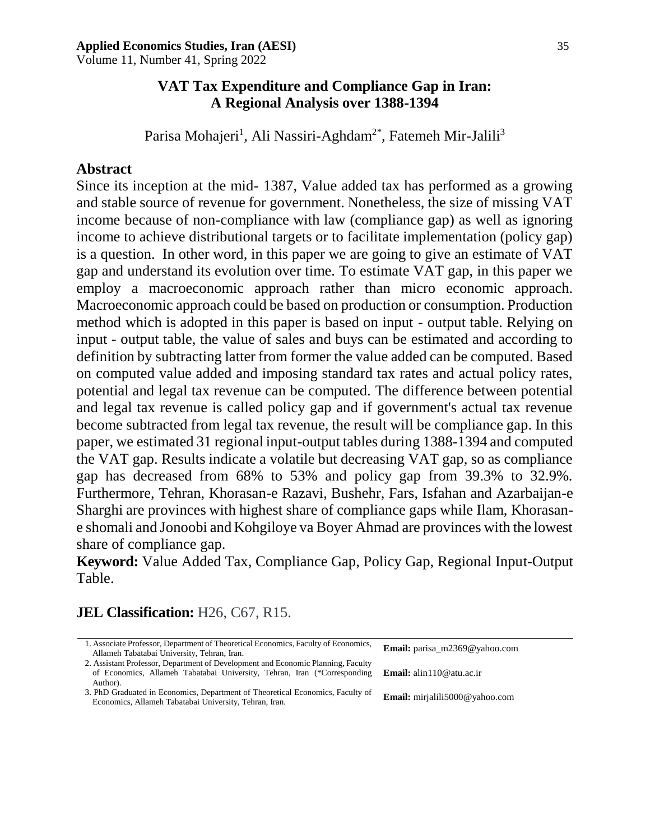Volume 11, Number 41, Spring 2022

## **VAT Tax Expenditure and Compliance Gap in Iran: A Regional Analysis over 1388-1394**

Parisa Mohajeri<sup>1</sup>, Ali Nassiri-Aghdam<sup>2\*</sup>, Fatemeh Mir-Jalili<sup>3</sup>

## **Abstract**

Since its inception at the mid- 1387, Value added tax has performed as a growing and stable source of revenue for government. Nonetheless, the size of missing VAT income because of non-compliance with law (compliance gap) as well as ignoring income to achieve distributional targets or to facilitate implementation (policy gap) is a question. In other word, in this paper we are going to give an estimate of VAT gap and understand its evolution over time. To estimate VAT gap, in this paper we employ a macroeconomic approach rather than micro economic approach. Macroeconomic approach could be based on production or consumption. Production method which is adopted in this paper is based on input - output table. Relying on input - output table, the value of sales and buys can be estimated and according to definition by subtracting latter from former the value added can be computed. Based on computed value added and imposing standard tax rates and actual policy rates, potential and legal tax revenue can be computed. The difference between potential and legal tax revenue is called policy gap and if government's actual tax revenue become subtracted from legal tax revenue, the result will be compliance gap. In this paper, we estimated 31 regional input-output tables during 1388-1394 and computed the VAT gap. Results indicate a volatile but decreasing VAT gap, so as compliance gap has decreased from 68% to 53% and policy gap from 39.3% to 32.9%. Furthermore, Tehran, Khorasan-e Razavi, Bushehr, Fars, Isfahan and Azarbaijan-e Sharghi are provinces with highest share of compliance gaps while Ilam, Khorasane shomali and Jonoobi and Kohgiloye va Boyer Ahmad are provinces with the lowest share of compliance gap.

**Keyword:** Value Added Tax, Compliance Gap, Policy Gap, Regional Input-Output Table.

# **JEL Classification:** H26, C67, R15.

| 1. Associate Professor, Department of Theoretical Economics, Faculty of Economics, | <b>Email:</b> parisa_m2369 $@$ vahoo.com |
|------------------------------------------------------------------------------------|------------------------------------------|
| Allameh Tabatabai University, Tehran, Iran.                                        |                                          |
| 2. Assistant Professor, Department of Development and Economic Planning, Faculty   |                                          |
| of Economics, Allameh Tabatabai University, Tehran, Iran (*Corresponding           | <b>Email:</b> alin110@atu.ac.ir          |
| Author).                                                                           |                                          |
| 3. PhD Graduated in Economics, Department of Theoretical Economics, Faculty of     | <b>Email:</b> mirialili5000@yahoo.com    |
| Economics, Allameh Tabatabai University, Tehran, Iran.                             |                                          |
|                                                                                    |                                          |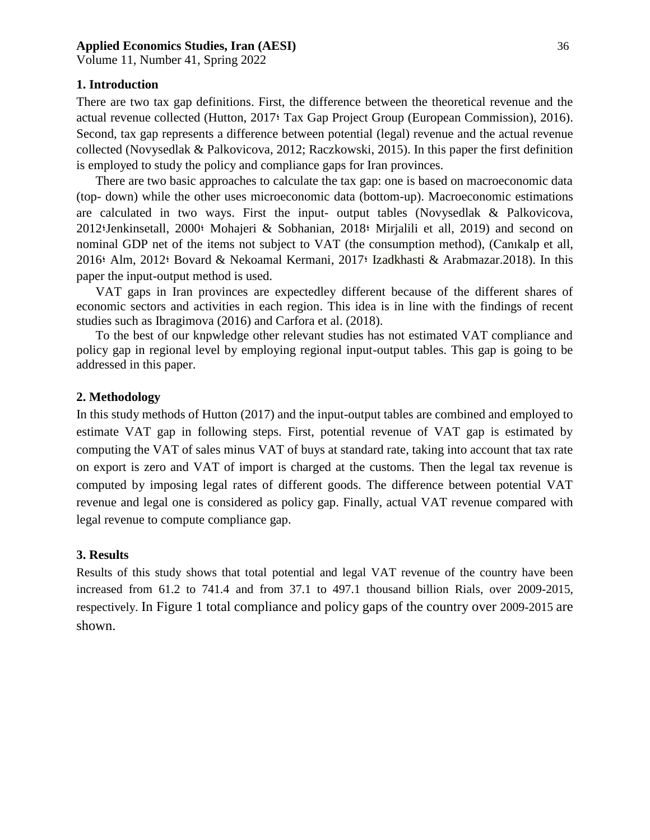Volume 11, Number 41, Spring 2022

## **1. Introduction**

There are two tax gap definitions. First, the difference between the theoretical revenue and the actual revenue collected (Hutton, 2017؛ Tax Gap Project Group (European Commission), 2016). Second, tax gap represents a difference between potential (legal) revenue and the actual revenue collected (Novysedlak & Palkovicova, 2012; Raczkowski, 2015). In this paper the first definition is employed to study the policy and compliance gaps for Iran provinces.

There are two basic approaches to calculate the tax gap: one is based on macroeconomic data (top- down) while the other uses microeconomic data (bottom-up). Macroeconomic estimations are calculated in two ways. First the input- output tables (Novysedlak & Palkovicova, 2012؛Jenkinsetall, 2000؛ Mohajeri & Sobhanian, 2018؛ Mirjalili et all, 2019) and second on nominal GDP net of the items not subject to VAT (the consumption method), (Canıkalp et all, 2016؛ Alm, 2012؛ Bovard & Nekoamal Kermani, 2017؛ Izadkhasti & Arabmazar.2018). In this paper the input-output method is used.

VAT gaps in Iran provinces are expectedley different because of the different shares of economic sectors and activities in each region. This idea is in line with the findings of recent studies such as Ibragimova (2016) and Carfora et al. (2018).

To the best of our knpwledge other relevant studies has not estimated VAT compliance and policy gap in regional level by employing regional input-output tables. This gap is going to be addressed in this paper.

#### **2. Methodology**

In this study methods of Hutton (2017) and the input-output tables are combined and employed to estimate VAT gap in following steps. First, potential revenue of VAT gap is estimated by computing the VAT of sales minus VAT of buys at standard rate, taking into account that tax rate on export is zero and VAT of import is charged at the customs. Then the legal tax revenue is computed by imposing legal rates of different goods. The difference between potential VAT revenue and legal one is considered as policy gap. Finally, actual VAT revenue compared with legal revenue to compute compliance gap.

### **3. Results**

Results of this study shows that total potential and legal VAT revenue of the country have been increased from 61.2 to 741.4 and from 37.1 to 497.1 thousand billion Rials, over 2009-2015, respectively. In Figure 1 total compliance and policy gaps of the country over 2009-2015 are shown.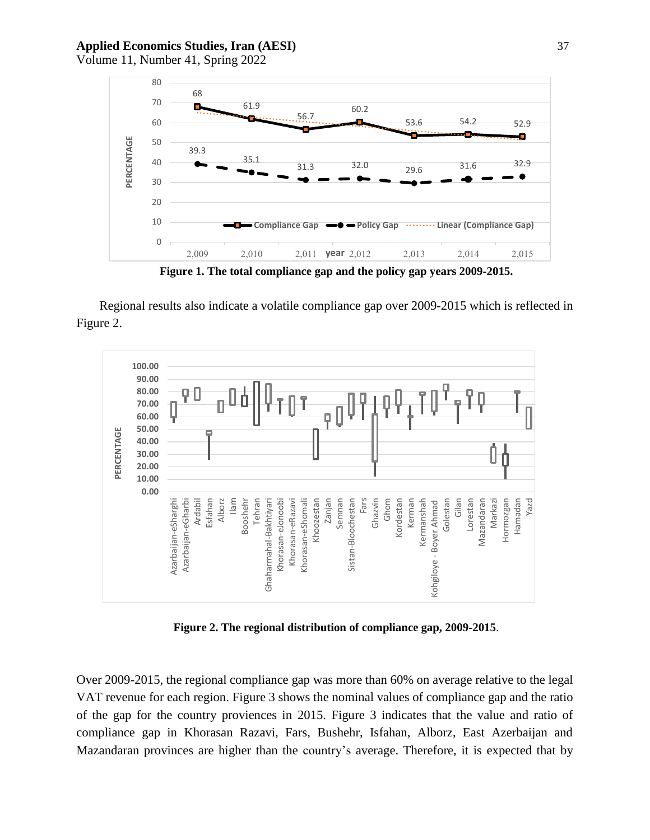Volume 11, Number 41, Spring 2022



**Figure 1. The total compliance gap and the policy gap years 2009-2015.**

Regional results also indicate a volatile compliance gap over 2009-2015 which is reflected in Figure 2.



**Figure 2. The regional distribution of compliance gap, 2009-2015**.

Over 2009-2015, the regional compliance gap was more than 60% on average relative to the legal VAT revenue for each region. Figure 3 shows the nominal values of compliance gap and the ratio of the gap for the country proviences in 2015. Figure 3 indicates that the value and ratio of compliance gap in Khorasan Razavi, Fars, Bushehr, Isfahan, Alborz, East Azerbaijan and Mazandaran provinces are higher than the country's average. Therefore, it is expected that by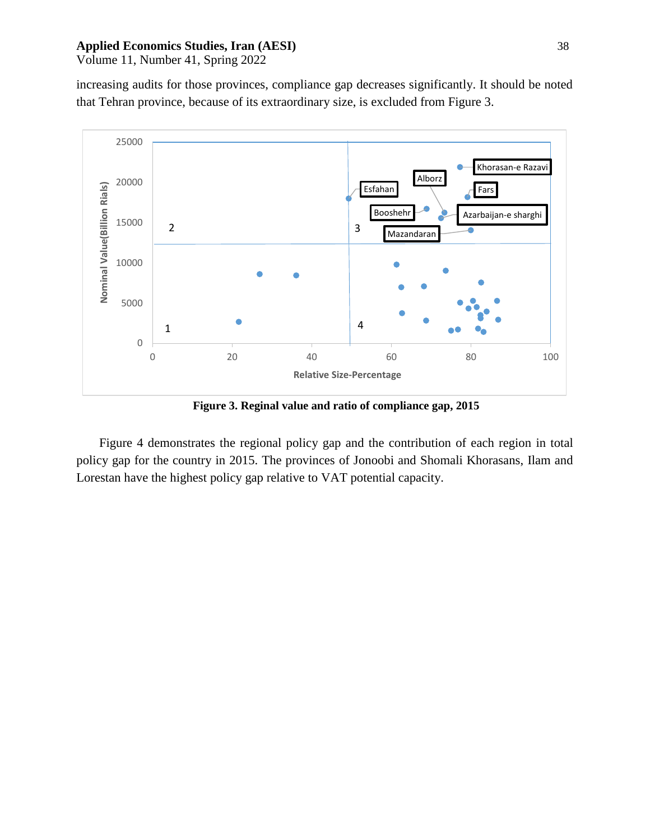Volume 11, Number 41, Spring 2022

increasing audits for those provinces, compliance gap decreases significantly. It should be noted that Tehran province, because of its extraordinary size, is excluded from Figure 3.



**Figure 3. Reginal value and ratio of compliance gap, 2015**

Figure 4 demonstrates the regional policy gap and the contribution of each region in total policy gap for the country in 2015. The provinces of Jonoobi and Shomali Khorasans, Ilam and Lorestan have the highest policy gap relative to VAT potential capacity.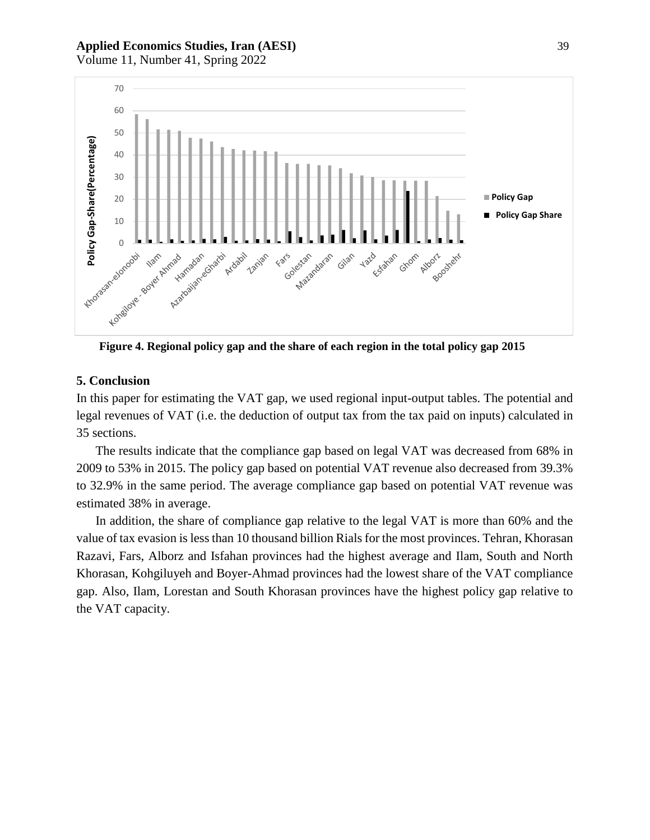Volume 11, Number 41, Spring 2022



**Figure 4. Regional policy gap and the share of each region in the total policy gap 2015**

#### **5. Conclusion**

In this paper for estimating the VAT gap, we used regional input-output tables. The potential and legal revenues of VAT (i.e. the deduction of output tax from the tax paid on inputs) calculated in 35 sections.

The results indicate that the compliance gap based on legal VAT was decreased from 68% in 2009 to 53% in 2015. The policy gap based on potential VAT revenue also decreased from 39.3% to 32.9% in the same period. The average compliance gap based on potential VAT revenue was estimated 38% in average.

In addition, the share of compliance gap relative to the legal VAT is more than 60% and the value of tax evasion is less than 10 thousand billion Rials for the most provinces. Tehran, Khorasan Razavi, Fars, Alborz and Isfahan provinces had the highest average and Ilam, South and North Khorasan, Kohgiluyeh and Boyer-Ahmad provinces had the lowest share of the VAT compliance gap. Also, Ilam, Lorestan and South Khorasan provinces have the highest policy gap relative to the VAT capacity.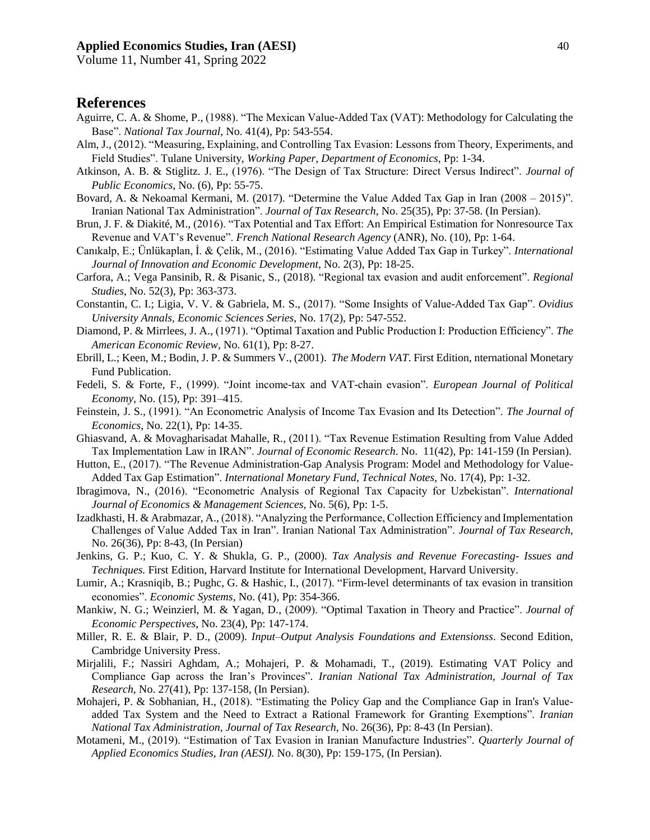Volume 11, Number 41, Spring 2022

## **References**

- Aguirre, C. A. & Shome, P., (1988). "The Mexican Value-Added Tax (VAT): Methodology for Calculating the Base". *National Tax Journal*, No. 41(4), Pp: 543-554.
- Alm, J., (2012). "Measuring, Explaining, and Controlling Tax Evasion: Lessons from Theory, Experiments, and Field Studies". Tulane University, *Working Paper, Department of Economics*, Pp: 1-34.
- Atkinson, A. B. & Stiglitz. J. E., (1976). "The Design of Tax Structure: Direct Versus Indirect". *Journal of Public Economics*, No. (6), Pp: 55-75.
- Bovard, A. & Nekoamal Kermani, M. (2017). "Determine the Value Added Tax Gap in Iran (2008 2015)". Iranian National Tax Administration". *Journal of Tax Research,* No. 25(35), Pp: 37-58. (In Persian).
- Brun, J. F. & Diakité, M., (2016). "Tax Potential and Tax Effort: An Empirical Estimation for Nonresource Tax Revenue and VAT's Revenue". *French National Research Agency* (ANR), No. (10), Pp: 1-64.
- Canıkalp, E.; Ünlükaplan, İ. & Çelik, M., (2016). "Estimating Value Added Tax Gap in Turkey". *International Journal of Innovation and Economic Development*, No. 2(3), Pp: 18-25.
- Carfora, A.; Vega Pansinib, R. & Pisanic, S., (2018). "Regional tax evasion and audit enforcement". *Regional Studies*, No. 52(3), Pp: 363-373.
- Constantin, C. I.; Ligia, V. V. & Gabriela, M. S., (2017). "Some Insights of Value-Added Tax Gap". *Ovidius University Annals, Economic Sciences Series*, No. 17(2), Pp: 547-552.
- Diamond, P. & Mirrlees, J. A., (1971). "Optimal Taxation and Public Production I: Production Efficiency". *The American Economic Review*, No. 61(1), Pp: 8-27.
- Ebrill, L.; Keen, M.; Bodin, J. P. & Summers V., (2001). *The Modern VAT*. First Edition, nternational Monetary Fund Publication.
- Fedeli, S. & Forte, F., (1999). "Joint income-tax and VAT-chain evasion". *European Journal of Political Economy,* No. (15), Pp: 391–415.
- Feinstein, J. S., (1991). "An Econometric Analysis of Income Tax Evasion and Its Detection". *The Journal of Economics*, No. 22(1), Pp: 14-35.
- Ghiasvand, A. & Movagharisadat Mahalle, R., (2011). "Tax Revenue Estimation Resulting from Value Added Tax Implementation Law in IRAN". *Journal of Economic Research*. No. 11(42), Pp: 141-159 (In Persian).
- Hutton, E., (2017). "The Revenue Administration-Gap Analysis Program: Model and Methodology for Value-Added Tax Gap Estimation". *International Monetary Fund, Technical Notes,* No. 17(4), Pp: 1-32.
- Ibragimova, N., (2016). "Econometric Analysis of Regional Tax Capacity for Uzbekistan". *International Journal of Economics & Management Sciences*, No. 5(6), Pp: 1-5.
- Izadkhasti, H. & Arabmazar, A., (2018). "Analyzing the Performance, Collection Efficiency and Implementation Challenges of Value Added Tax in Iran". Iranian National Tax Administration". *Journal of Tax Research,* No. 26(36), Pp: 8-43, (In Persian)
- Jenkins, G. P.; Kuo, C. Y. & Shukla, G. P., (2000). *Tax Analysis and Revenue Forecasting- Issues and Techniques.* First Edition, Harvard Institute for International Development, Harvard University.
- Lumir, A.; Krasniqib, B.; Pughc, G. & Hashic, I., (2017). "Firm-level determinants of tax evasion in transition economies". *Economic Systems*, No. (41), Pp: 354-366.
- Mankiw, N. G.; Weinzierl, M. & Yagan, D., (2009). "Optimal Taxation in Theory and Practice". *Journal of Economic Perspectives,* No. 23(4), Pp: 147-174.
- Miller, R. E. & Blair, P. D., (2009). *Input–Output Analysis Foundations and Extensionss*. Second Edition, Cambridge University Press.
- Mirjalili, F.; Nassiri Aghdam, A.; Mohajeri, P. & Mohamadi, T., (2019). Estimating VAT Policy and Compliance Gap across the Iran's Provinces". *Iranian National Tax Administration, Journal of Tax Research*, No. 27(41), Pp: 137-158, (In Persian).
- Mohajeri, P. & Sobhanian, H., (2018). "Estimating the Policy Gap and the Compliance Gap in Iran's Valueadded Tax System and the Need to Extract a Rational Framework for Granting Exemptions". *Iranian National Tax Administration, Journal of Tax Research,* No. 26(36), Pp: 8-43 (In Persian).
- Motameni, M., (2019). "Estimation of Tax Evasion in Iranian Manufacture Industries". *Quarterly Journal of Applied Economics Studies, Iran (AESI).* No. 8(30), Pp: 159-175, (In Persian).